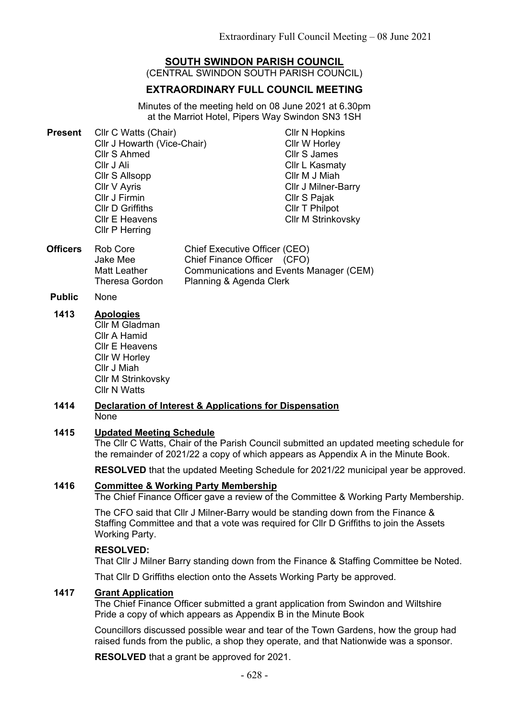# **SOUTH SWINDON PARISH COUNCIL**

(CENTRAL SWINDON SOUTH PARISH COUNCIL)

# **EXTRAORDINARY FULL COUNCIL MEETING**

Minutes of the meeting held on 08 June 2021 at 6.30pm at the Marriot Hotel, Pipers Way Swindon SN3 1SH

| <b>Present</b> | Cllr C Watts (Chair)        | <b>CIIr N Hopkins</b>      |
|----------------|-----------------------------|----------------------------|
|                | Cllr J Howarth (Vice-Chair) | Cllr W Horley              |
|                | <b>Cllr S Ahmed</b>         | <b>Cllr S James</b>        |
|                | Cllr J Ali                  | <b>Cllr L Kasmaty</b>      |
|                | Cllr S Allsopp              | Cllr M J Miah              |
|                | Cllr V Ayris                | <b>CIIr J Milner-Barry</b> |
|                | Cllr J Firmin               | Cllr S Pajak               |
|                | <b>CIIr D Griffiths</b>     | Cllr T Philpot             |
|                | <b>CIIr E Heavens</b>       | <b>CIIr M Strinkovsky</b>  |
|                | Cllr P Herring              |                            |

- **Officers** Rob Core Jake Mee Matt Leather Theresa Gordon Chief Executive Officer (CEO) Chief Finance Officer (CFO) Communications and Events Manager (CEM) Planning & Agenda Clerk
- **Public** None
- **1413 Apologies** Cllr M Gladman Cllr A Hamid Cllr E Heavens Cllr W Horley Cllr J Miah Cllr M Strinkovsky Cllr N Watts

#### **1414 Declaration of Interest & Applications for Dispensation** None

### **1415 Updated Meeting Schedule**

The Cllr C Watts, Chair of the Parish Council submitted an updated meeting schedule for the remainder of 2021/22 a copy of which appears as Appendix A in the Minute Book.

**RESOLVED** that the updated Meeting Schedule for 2021/22 municipal year be approved.

### **1416 Committee & Working Party Membership**

The Chief Finance Officer gave a review of the Committee & Working Party Membership.

The CFO said that Cllr J Milner-Barry would be standing down from the Finance & Staffing Committee and that a vote was required for Cllr D Griffiths to join the Assets Working Party.

### **RESOLVED:**

That Cllr J Milner Barry standing down from the Finance & Staffing Committee be Noted.

That Cllr D Griffiths election onto the Assets Working Party be approved.

# **1417 Grant Application**

The Chief Finance Officer submitted a grant application from Swindon and Wiltshire Pride a copy of which appears as Appendix B in the Minute Book

Councillors discussed possible wear and tear of the Town Gardens, how the group had raised funds from the public, a shop they operate, and that Nationwide was a sponsor.

**RESOLVED** that a grant be approved for 2021.